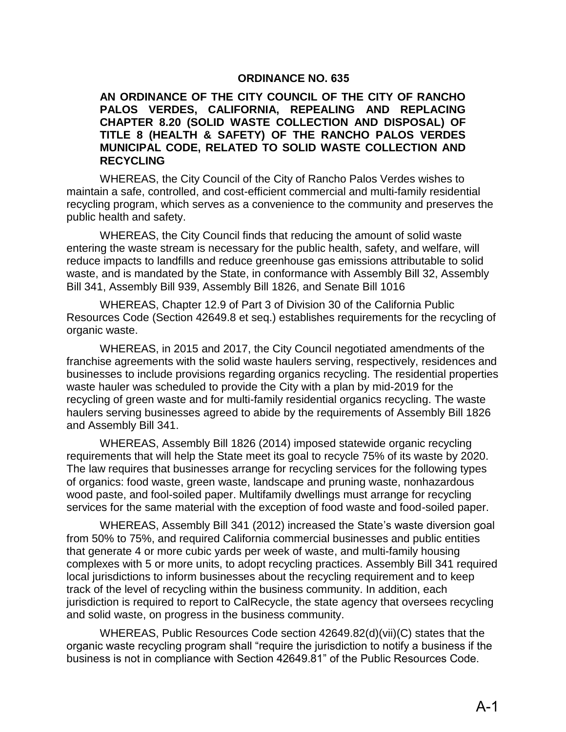#### **ORDINANCE NO. 635**

#### **AN ORDINANCE OF THE CITY COUNCIL OF THE CITY OF RANCHO PALOS VERDES, CALIFORNIA, REPEALING AND REPLACING CHAPTER 8.20 (SOLID WASTE COLLECTION AND DISPOSAL) OF TITLE 8 (HEALTH & SAFETY) OF THE RANCHO PALOS VERDES MUNICIPAL CODE, RELATED TO SOLID WASTE COLLECTION AND RECYCLING**

WHEREAS, the City Council of the City of Rancho Palos Verdes wishes to maintain a safe, controlled, and cost-efficient commercial and multi-family residential recycling program, which serves as a convenience to the community and preserves the public health and safety.

WHEREAS, the City Council finds that reducing the amount of solid waste entering the waste stream is necessary for the public health, safety, and welfare, will reduce impacts to landfills and reduce greenhouse gas emissions attributable to solid waste, and is mandated by the State, in conformance with Assembly Bill 32, Assembly Bill 341, Assembly Bill 939, Assembly Bill 1826, and Senate Bill 1016

WHEREAS, Chapter 12.9 of Part 3 of Division 30 of the California Public Resources Code (Section 42649.8 et seq.) establishes requirements for the recycling of organic waste.

WHEREAS, in 2015 and 2017, the City Council negotiated amendments of the franchise agreements with the solid waste haulers serving, respectively, residences and businesses to include provisions regarding organics recycling. The residential properties waste hauler was scheduled to provide the City with a plan by mid-2019 for the recycling of green waste and for multi-family residential organics recycling. The waste haulers serving businesses agreed to abide by the requirements of Assembly Bill 1826 and Assembly Bill 341.

WHEREAS, Assembly Bill 1826 (2014) imposed statewide organic recycling requirements that will help the State meet its goal to recycle 75% of its waste by 2020. The law requires that businesses arrange for recycling services for the following types of organics: food waste, green waste, landscape and pruning waste, nonhazardous wood paste, and fool-soiled paper. Multifamily dwellings must arrange for recycling services for the same material with the exception of food waste and food-soiled paper.

WHEREAS, Assembly Bill 341 (2012) increased the State's waste diversion goal from 50% to 75%, and required California commercial businesses and public entities that generate 4 or more cubic yards per week of waste, and multi-family housing complexes with 5 or more units, to adopt recycling practices. Assembly Bill 341 required local jurisdictions to inform businesses about the recycling requirement and to keep track of the level of recycling within the business community. In addition, each jurisdiction is required to report to CalRecycle, the state agency that oversees recycling and solid waste, on progress in the business community.

WHEREAS, Public Resources Code section 42649.82(d)(vii)(C) states that the organic waste recycling program shall "require the jurisdiction to notify a business if the business is not in compliance with Section 42649.81" of the Public Resources Code.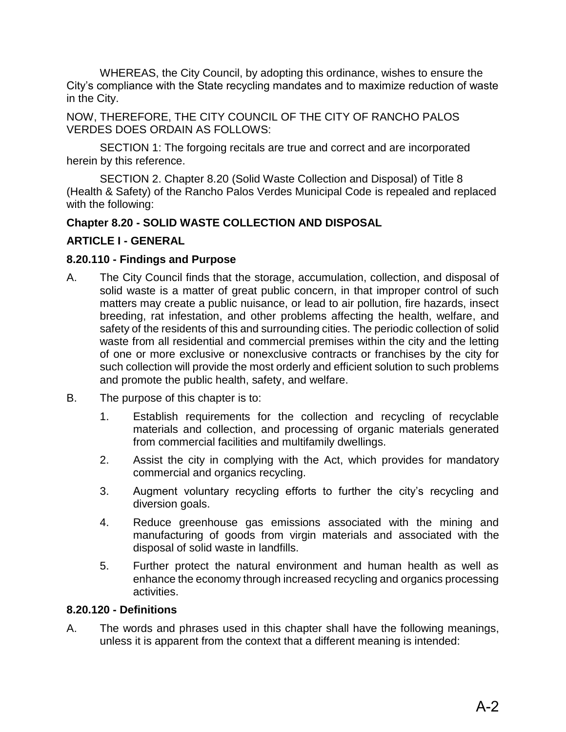WHEREAS, the City Council, by adopting this ordinance, wishes to ensure the City's compliance with the State recycling mandates and to maximize reduction of waste in the City.

NOW, THEREFORE, THE CITY COUNCIL OF THE CITY OF RANCHO PALOS VERDES DOES ORDAIN AS FOLLOWS:

SECTION 1: The forgoing recitals are true and correct and are incorporated herein by this reference.

SECTION 2. Chapter 8.20 (Solid Waste Collection and Disposal) of Title 8 (Health & Safety) of the Rancho Palos Verdes Municipal Code is repealed and replaced with the following:

# **Chapter 8.20 - SOLID WASTE COLLECTION AND DISPOSAL**

## **ARTICLE I - GENERAL**

## **8.20.110 - Findings and Purpose**

- A. The City Council finds that the storage, accumulation, collection, and disposal of solid waste is a matter of great public concern, in that improper control of such matters may create a public nuisance, or lead to air pollution, fire hazards, insect breeding, rat infestation, and other problems affecting the health, welfare, and safety of the residents of this and surrounding cities. The periodic collection of solid waste from all residential and commercial premises within the city and the letting of one or more exclusive or nonexclusive contracts or franchises by the city for such collection will provide the most orderly and efficient solution to such problems and promote the public health, safety, and welfare.
- B. The purpose of this chapter is to:
	- 1. Establish requirements for the collection and recycling of recyclable materials and collection, and processing of organic materials generated from commercial facilities and multifamily dwellings.
	- 2. Assist the city in complying with the Act, which provides for mandatory commercial and organics recycling.
	- 3. Augment voluntary recycling efforts to further the city's recycling and diversion goals.
	- 4. Reduce greenhouse gas emissions associated with the mining and manufacturing of goods from virgin materials and associated with the disposal of solid waste in landfills.
	- 5. Further protect the natural environment and human health as well as enhance the economy through increased recycling and organics processing activities.

### **8.20.120 - Definitions**

A. The words and phrases used in this chapter shall have the following meanings, unless it is apparent from the context that a different meaning is intended: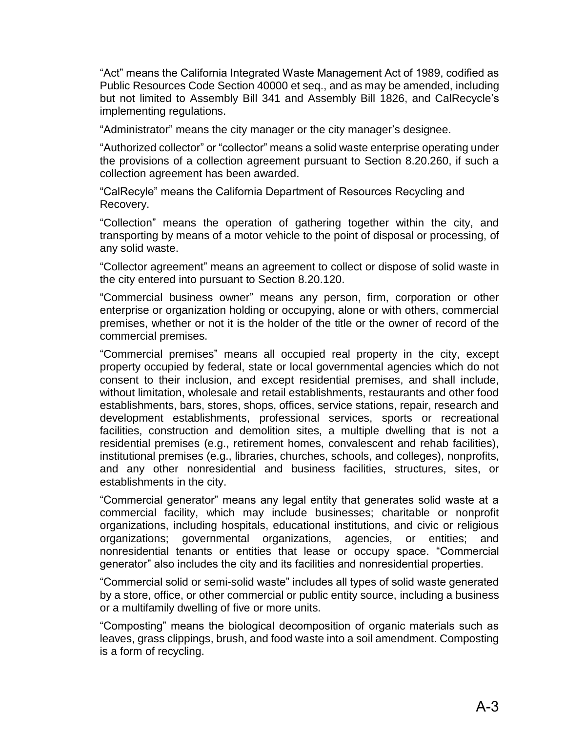"Act" means the California Integrated Waste Management Act of 1989, codified as Public Resources Code Section 40000 et seq., and as may be amended, including but not limited to Assembly Bill 341 and Assembly Bill 1826, and CalRecycle's implementing regulations.

"Administrator" means the city manager or the city manager's designee.

"Authorized collector" or "collector" means a solid waste enterprise operating under the provisions of a collection agreement pursuant to Section 8.20.260, if such a collection agreement has been awarded.

"CalRecyle" means the California Department of Resources Recycling and Recovery.

"Collection" means the operation of gathering together within the city, and transporting by means of a motor vehicle to the point of disposal or processing, of any solid waste.

"Collector agreement" means an agreement to collect or dispose of solid waste in the city entered into pursuant to Section 8.20.120.

"Commercial business owner" means any person, firm, corporation or other enterprise or organization holding or occupying, alone or with others, commercial premises, whether or not it is the holder of the title or the owner of record of the commercial premises.

"Commercial premises" means all occupied real property in the city, except property occupied by federal, state or local governmental agencies which do not consent to their inclusion, and except residential premises, and shall include, without limitation, wholesale and retail establishments, restaurants and other food establishments, bars, stores, shops, offices, service stations, repair, research and development establishments, professional services, sports or recreational facilities, construction and demolition sites, a multiple dwelling that is not a residential premises (e.g., retirement homes, convalescent and rehab facilities), institutional premises (e.g., libraries, churches, schools, and colleges), nonprofits, and any other nonresidential and business facilities, structures, sites, or establishments in the city.

"Commercial generator" means any legal entity that generates solid waste at a commercial facility, which may include businesses; charitable or nonprofit organizations, including hospitals, educational institutions, and civic or religious organizations; governmental organizations, agencies, or entities; and nonresidential tenants or entities that lease or occupy space. "Commercial generator" also includes the city and its facilities and nonresidential properties.

"Commercial solid or semi-solid waste" includes all types of solid waste generated by a store, office, or other commercial or public entity source, including a business or a multifamily dwelling of five or more units.

"Composting" means the biological decomposition of organic materials such as leaves, grass clippings, brush, and food waste into a soil amendment. Composting is a form of recycling.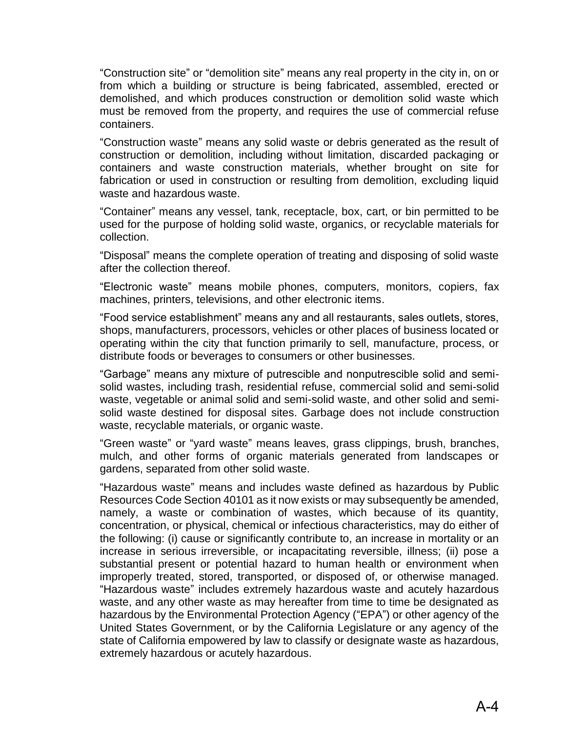"Construction site" or "demolition site" means any real property in the city in, on or from which a building or structure is being fabricated, assembled, erected or demolished, and which produces construction or demolition solid waste which must be removed from the property, and requires the use of commercial refuse containers.

"Construction waste" means any solid waste or debris generated as the result of construction or demolition, including without limitation, discarded packaging or containers and waste construction materials, whether brought on site for fabrication or used in construction or resulting from demolition, excluding liquid waste and hazardous waste.

"Container" means any vessel, tank, receptacle, box, cart, or bin permitted to be used for the purpose of holding solid waste, organics, or recyclable materials for collection.

"Disposal" means the complete operation of treating and disposing of solid waste after the collection thereof.

"Electronic waste" means mobile phones, computers, monitors, copiers, fax machines, printers, televisions, and other electronic items.

"Food service establishment" means any and all restaurants, sales outlets, stores, shops, manufacturers, processors, vehicles or other places of business located or operating within the city that function primarily to sell, manufacture, process, or distribute foods or beverages to consumers or other businesses.

"Garbage" means any mixture of putrescible and nonputrescible solid and semisolid wastes, including trash, residential refuse, commercial solid and semi-solid waste, vegetable or animal solid and semi-solid waste, and other solid and semisolid waste destined for disposal sites. Garbage does not include construction waste, recyclable materials, or organic waste.

"Green waste" or "yard waste" means leaves, grass clippings, brush, branches, mulch, and other forms of organic materials generated from landscapes or gardens, separated from other solid waste.

"Hazardous waste" means and includes waste defined as hazardous by Public Resources Code Section 40101 as it now exists or may subsequently be amended, namely, a waste or combination of wastes, which because of its quantity, concentration, or physical, chemical or infectious characteristics, may do either of the following: (i) cause or significantly contribute to, an increase in mortality or an increase in serious irreversible, or incapacitating reversible, illness; (ii) pose a substantial present or potential hazard to human health or environment when improperly treated, stored, transported, or disposed of, or otherwise managed. "Hazardous waste" includes extremely hazardous waste and acutely hazardous waste, and any other waste as may hereafter from time to time be designated as hazardous by the Environmental Protection Agency ("EPA") or other agency of the United States Government, or by the California Legislature or any agency of the state of California empowered by law to classify or designate waste as hazardous, extremely hazardous or acutely hazardous.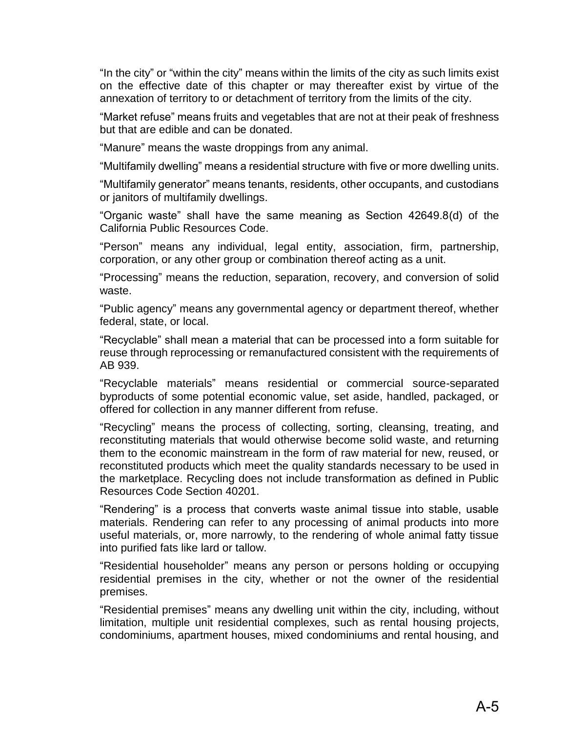"In the city" or "within the city" means within the limits of the city as such limits exist on the effective date of this chapter or may thereafter exist by virtue of the annexation of territory to or detachment of territory from the limits of the city.

"Market refuse" means fruits and vegetables that are not at their peak of freshness but that are edible and can be donated.

"Manure" means the waste droppings from any animal.

"Multifamily dwelling" means a residential structure with five or more dwelling units.

"Multifamily generator" means tenants, residents, other occupants, and custodians or janitors of multifamily dwellings.

"Organic waste" shall have the same meaning as Section 42649.8(d) of the California Public Resources Code.

"Person" means any individual, legal entity, association, firm, partnership, corporation, or any other group or combination thereof acting as a unit.

"Processing" means the reduction, separation, recovery, and conversion of solid waste.

"Public agency" means any governmental agency or department thereof, whether federal, state, or local.

"Recyclable" shall mean a material that can be processed into a form suitable for reuse through reprocessing or remanufactured consistent with the requirements of AB 939.

"Recyclable materials" means residential or commercial source-separated byproducts of some potential economic value, set aside, handled, packaged, or offered for collection in any manner different from refuse.

"Recycling" means the process of collecting, sorting, cleansing, treating, and reconstituting materials that would otherwise become solid waste, and returning them to the economic mainstream in the form of raw material for new, reused, or reconstituted products which meet the quality standards necessary to be used in the marketplace. Recycling does not include transformation as defined in Public Resources Code Section 40201.

"Rendering" is a process that converts waste animal tissue into stable, usable materials. Rendering can refer to any processing of animal products into more useful materials, or, more narrowly, to the rendering of whole animal fatty tissue into purified fats like lard or tallow.

"Residential householder" means any person or persons holding or occupying residential premises in the city, whether or not the owner of the residential premises.

"Residential premises" means any dwelling unit within the city, including, without limitation, multiple unit residential complexes, such as rental housing projects, condominiums, apartment houses, mixed condominiums and rental housing, and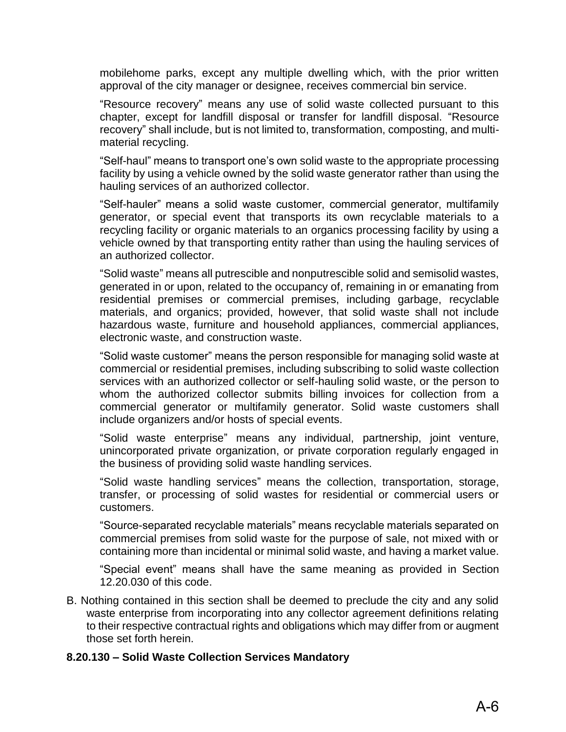mobilehome parks, except any multiple dwelling which, with the prior written approval of the city manager or designee, receives commercial bin service.

"Resource recovery" means any use of solid waste collected pursuant to this chapter, except for landfill disposal or transfer for landfill disposal. "Resource recovery" shall include, but is not limited to, transformation, composting, and multimaterial recycling.

"Self-haul" means to transport one's own solid waste to the appropriate processing facility by using a vehicle owned by the solid waste generator rather than using the hauling services of an authorized collector.

"Self-hauler" means a solid waste customer, commercial generator, multifamily generator, or special event that transports its own recyclable materials to a recycling facility or organic materials to an organics processing facility by using a vehicle owned by that transporting entity rather than using the hauling services of an authorized collector.

"Solid waste" means all putrescible and nonputrescible solid and semisolid wastes, generated in or upon, related to the occupancy of, remaining in or emanating from residential premises or commercial premises, including garbage, recyclable materials, and organics; provided, however, that solid waste shall not include hazardous waste, furniture and household appliances, commercial appliances, electronic waste, and construction waste.

"Solid waste customer" means the person responsible for managing solid waste at commercial or residential premises, including subscribing to solid waste collection services with an authorized collector or self-hauling solid waste, or the person to whom the authorized collector submits billing invoices for collection from a commercial generator or multifamily generator. Solid waste customers shall include organizers and/or hosts of special events.

"Solid waste enterprise" means any individual, partnership, joint venture, unincorporated private organization, or private corporation regularly engaged in the business of providing solid waste handling services.

"Solid waste handling services" means the collection, transportation, storage, transfer, or processing of solid wastes for residential or commercial users or customers.

"Source-separated recyclable materials" means recyclable materials separated on commercial premises from solid waste for the purpose of sale, not mixed with or containing more than incidental or minimal solid waste, and having a market value.

"Special event" means shall have the same meaning as provided in Section 12.20.030 of this code.

B. Nothing contained in this section shall be deemed to preclude the city and any solid waste enterprise from incorporating into any collector agreement definitions relating to their respective contractual rights and obligations which may differ from or augment those set forth herein.

#### **8.20.130 – Solid Waste Collection Services Mandatory**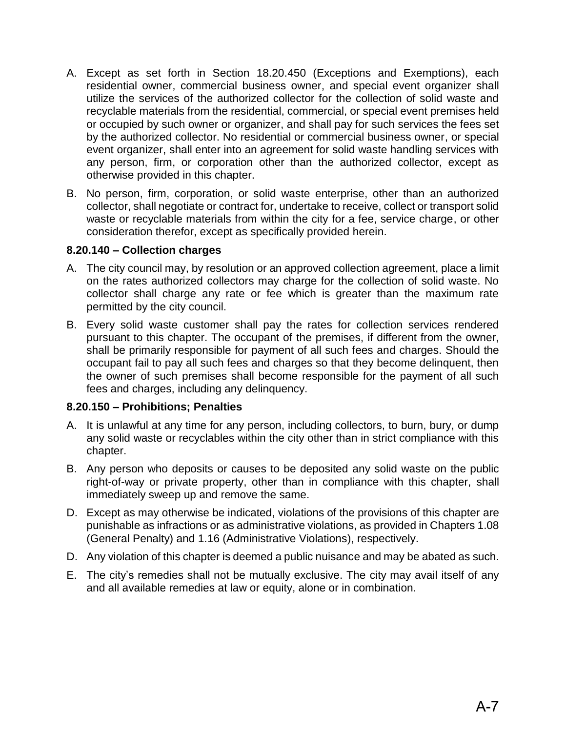- A. Except as set forth in Section 18.20.450 (Exceptions and Exemptions), each residential owner, commercial business owner, and special event organizer shall utilize the services of the authorized collector for the collection of solid waste and recyclable materials from the residential, commercial, or special event premises held or occupied by such owner or organizer, and shall pay for such services the fees set by the authorized collector. No residential or commercial business owner, or special event organizer, shall enter into an agreement for solid waste handling services with any person, firm, or corporation other than the authorized collector, except as otherwise provided in this chapter.
- B. No person, firm, corporation, or solid waste enterprise, other than an authorized collector, shall negotiate or contract for, undertake to receive, collect or transport solid waste or recyclable materials from within the city for a fee, service charge, or other consideration therefor, except as specifically provided herein.

### **8.20.140 – Collection charges**

- A. The city council may, by resolution or an approved collection agreement, place a limit on the rates authorized collectors may charge for the collection of solid waste. No collector shall charge any rate or fee which is greater than the maximum rate permitted by the city council.
- B. Every solid waste customer shall pay the rates for collection services rendered pursuant to this chapter. The occupant of the premises, if different from the owner, shall be primarily responsible for payment of all such fees and charges. Should the occupant fail to pay all such fees and charges so that they become delinquent, then the owner of such premises shall become responsible for the payment of all such fees and charges, including any delinquency.

### **8.20.150 – Prohibitions; Penalties**

- A. It is unlawful at any time for any person, including collectors, to burn, bury, or dump any solid waste or recyclables within the city other than in strict compliance with this chapter.
- B. Any person who deposits or causes to be deposited any solid waste on the public right-of-way or private property, other than in compliance with this chapter, shall immediately sweep up and remove the same.
- D. Except as may otherwise be indicated, violations of the provisions of this chapter are punishable as infractions or as administrative violations, as provided in Chapters 1.08 (General Penalty) and 1.16 (Administrative Violations), respectively.
- D. Any violation of this chapter is deemed a public nuisance and may be abated as such.
- E. The city's remedies shall not be mutually exclusive. The city may avail itself of any and all available remedies at law or equity, alone or in combination.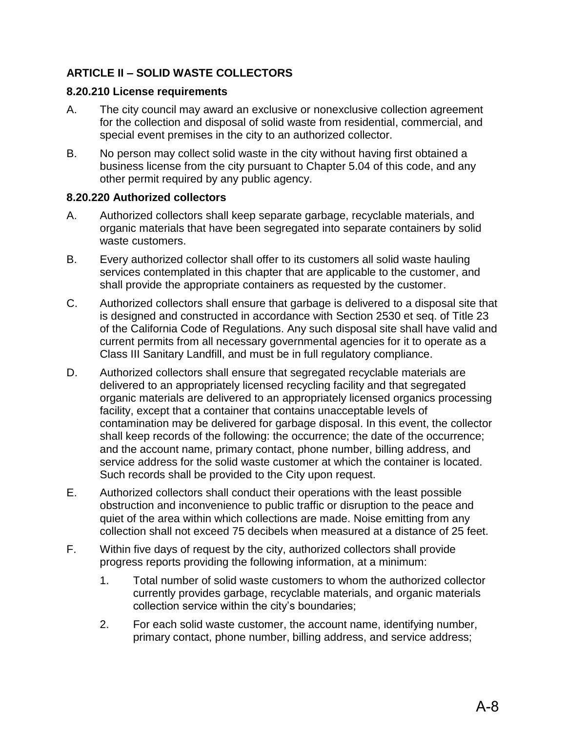# **ARTICLE II – SOLID WASTE COLLECTORS**

# **8.20.210 License requirements**

- A. The city council may award an exclusive or nonexclusive collection agreement for the collection and disposal of solid waste from residential, commercial, and special event premises in the city to an authorized collector.
- B. No person may collect solid waste in the city without having first obtained a business license from the city pursuant to Chapter 5.04 of this code, and any other permit required by any public agency.

## **8.20.220 Authorized collectors**

- A. Authorized collectors shall keep separate garbage, recyclable materials, and organic materials that have been segregated into separate containers by solid waste customers.
- B. Every authorized collector shall offer to its customers all solid waste hauling services contemplated in this chapter that are applicable to the customer, and shall provide the appropriate containers as requested by the customer.
- C. Authorized collectors shall ensure that garbage is delivered to a disposal site that is designed and constructed in accordance with Section 2530 et seq. of Title 23 of the California Code of Regulations. Any such disposal site shall have valid and current permits from all necessary governmental agencies for it to operate as a Class III Sanitary Landfill, and must be in full regulatory compliance.
- D. Authorized collectors shall ensure that segregated recyclable materials are delivered to an appropriately licensed recycling facility and that segregated organic materials are delivered to an appropriately licensed organics processing facility, except that a container that contains unacceptable levels of contamination may be delivered for garbage disposal. In this event, the collector shall keep records of the following: the occurrence; the date of the occurrence; and the account name, primary contact, phone number, billing address, and service address for the solid waste customer at which the container is located. Such records shall be provided to the City upon request.
- E. Authorized collectors shall conduct their operations with the least possible obstruction and inconvenience to public traffic or disruption to the peace and quiet of the area within which collections are made. Noise emitting from any collection shall not exceed 75 decibels when measured at a distance of 25 feet.
- F. Within five days of request by the city, authorized collectors shall provide progress reports providing the following information, at a minimum:
	- 1. Total number of solid waste customers to whom the authorized collector currently provides garbage, recyclable materials, and organic materials collection service within the city's boundaries;
	- 2. For each solid waste customer, the account name, identifying number, primary contact, phone number, billing address, and service address;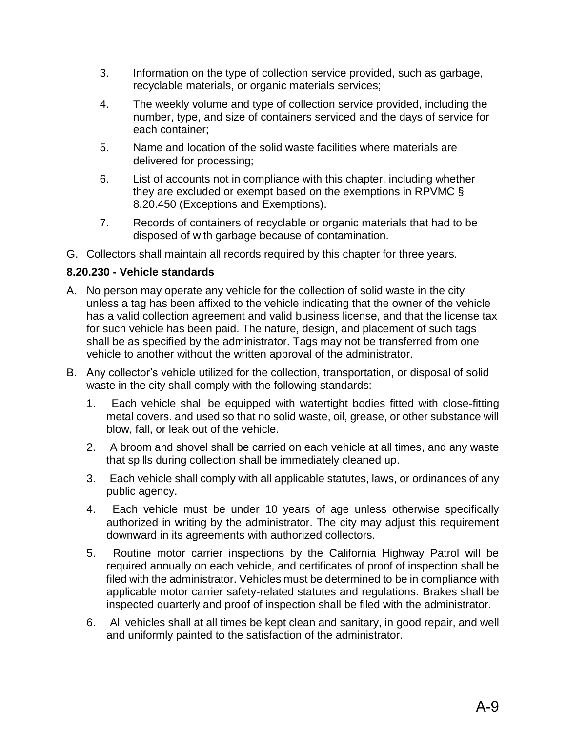- 3. Information on the type of collection service provided, such as garbage, recyclable materials, or organic materials services;
- 4. The weekly volume and type of collection service provided, including the number, type, and size of containers serviced and the days of service for each container;
- 5. Name and location of the solid waste facilities where materials are delivered for processing;
- 6. List of accounts not in compliance with this chapter, including whether they are excluded or exempt based on the exemptions in RPVMC § 8.20.450 (Exceptions and Exemptions).
- 7. Records of containers of recyclable or organic materials that had to be disposed of with garbage because of contamination.
- G. Collectors shall maintain all records required by this chapter for three years.

# **8.20.230 - Vehicle standards**

- A. No person may operate any vehicle for the collection of solid waste in the city unless a tag has been affixed to the vehicle indicating that the owner of the vehicle has a valid collection agreement and valid business license, and that the license tax for such vehicle has been paid. The nature, design, and placement of such tags shall be as specified by the administrator. Tags may not be transferred from one vehicle to another without the written approval of the administrator.
- B. Any collector's vehicle utilized for the collection, transportation, or disposal of solid waste in the city shall comply with the following standards:
	- 1. Each vehicle shall be equipped with watertight bodies fitted with close-fitting metal covers. and used so that no solid waste, oil, grease, or other substance will blow, fall, or leak out of the vehicle.
	- 2. A broom and shovel shall be carried on each vehicle at all times, and any waste that spills during collection shall be immediately cleaned up.
	- 3. Each vehicle shall comply with all applicable statutes, laws, or ordinances of any public agency.
	- 4. Each vehicle must be under 10 years of age unless otherwise specifically authorized in writing by the administrator. The city may adjust this requirement downward in its agreements with authorized collectors.
	- 5. Routine motor carrier inspections by the California Highway Patrol will be required annually on each vehicle, and certificates of proof of inspection shall be filed with the administrator. Vehicles must be determined to be in compliance with applicable motor carrier safety-related statutes and regulations. Brakes shall be inspected quarterly and proof of inspection shall be filed with the administrator.
	- 6. All vehicles shall at all times be kept clean and sanitary, in good repair, and well and uniformly painted to the satisfaction of the administrator.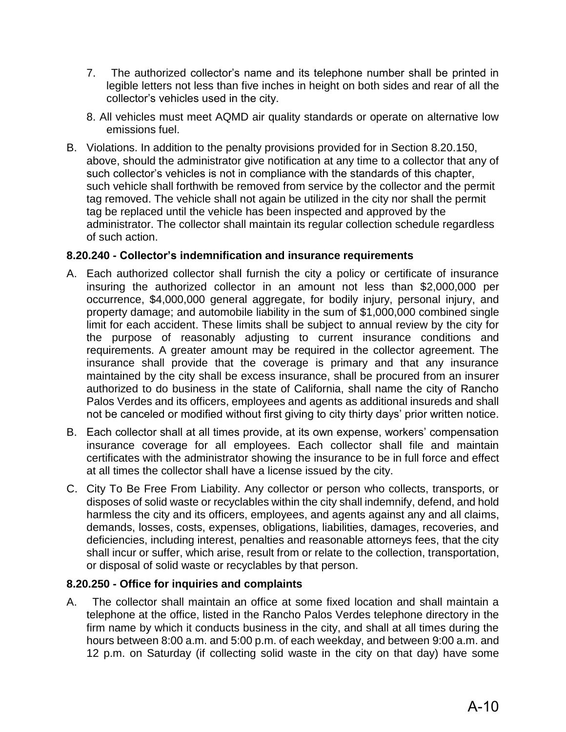- 7. The authorized collector's name and its telephone number shall be printed in legible letters not less than five inches in height on both sides and rear of all the collector's vehicles used in the city.
- 8. All vehicles must meet AQMD air quality standards or operate on alternative low emissions fuel.
- B. Violations. In addition to the penalty provisions provided for in Section 8.20.150, above, should the administrator give notification at any time to a collector that any of such collector's vehicles is not in compliance with the standards of this chapter, such vehicle shall forthwith be removed from service by the collector and the permit tag removed. The vehicle shall not again be utilized in the city nor shall the permit tag be replaced until the vehicle has been inspected and approved by the administrator. The collector shall maintain its regular collection schedule regardless of such action.

## **8.20.240 - Collector's indemnification and insurance requirements**

- A. Each authorized collector shall furnish the city a policy or certificate of insurance insuring the authorized collector in an amount not less than \$2,000,000 per occurrence, \$4,000,000 general aggregate, for bodily injury, personal injury, and property damage; and automobile liability in the sum of \$1,000,000 combined single limit for each accident. These limits shall be subject to annual review by the city for the purpose of reasonably adjusting to current insurance conditions and requirements. A greater amount may be required in the collector agreement. The insurance shall provide that the coverage is primary and that any insurance maintained by the city shall be excess insurance, shall be procured from an insurer authorized to do business in the state of California, shall name the city of Rancho Palos Verdes and its officers, employees and agents as additional insureds and shall not be canceled or modified without first giving to city thirty days' prior written notice.
- B. Each collector shall at all times provide, at its own expense, workers' compensation insurance coverage for all employees. Each collector shall file and maintain certificates with the administrator showing the insurance to be in full force and effect at all times the collector shall have a license issued by the city.
- C. City To Be Free From Liability. Any collector or person who collects, transports, or disposes of solid waste or recyclables within the city shall indemnify, defend, and hold harmless the city and its officers, employees, and agents against any and all claims, demands, losses, costs, expenses, obligations, liabilities, damages, recoveries, and deficiencies, including interest, penalties and reasonable attorneys fees, that the city shall incur or suffer, which arise, result from or relate to the collection, transportation, or disposal of solid waste or recyclables by that person.

# **8.20.250 - Office for inquiries and complaints**

A. The collector shall maintain an office at some fixed location and shall maintain a telephone at the office, listed in the Rancho Palos Verdes telephone directory in the firm name by which it conducts business in the city, and shall at all times during the hours between 8:00 a.m. and 5:00 p.m. of each weekday, and between 9:00 a.m. and 12 p.m. on Saturday (if collecting solid waste in the city on that day) have some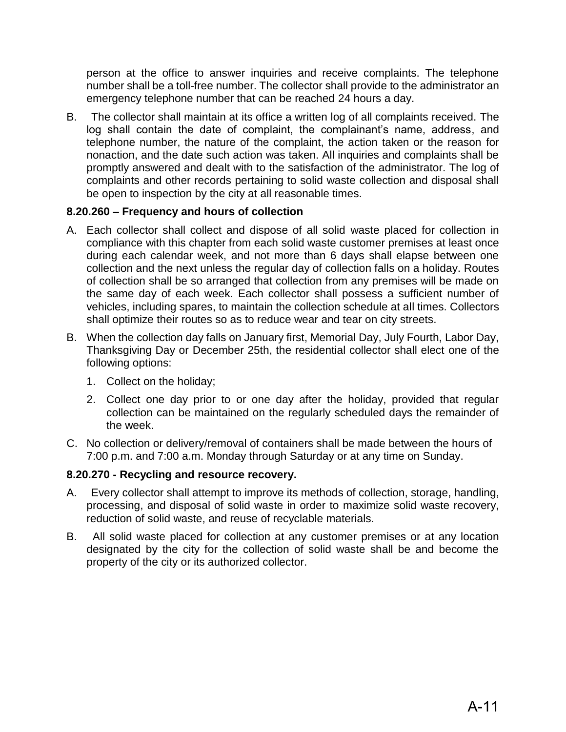person at the office to answer inquiries and receive complaints. The telephone number shall be a toll-free number. The collector shall provide to the administrator an emergency telephone number that can be reached 24 hours a day.

B. The collector shall maintain at its office a written log of all complaints received. The log shall contain the date of complaint, the complainant's name, address, and telephone number, the nature of the complaint, the action taken or the reason for nonaction, and the date such action was taken. All inquiries and complaints shall be promptly answered and dealt with to the satisfaction of the administrator. The log of complaints and other records pertaining to solid waste collection and disposal shall be open to inspection by the city at all reasonable times.

# **8.20.260 – Frequency and hours of collection**

- A. Each collector shall collect and dispose of all solid waste placed for collection in compliance with this chapter from each solid waste customer premises at least once during each calendar week, and not more than 6 days shall elapse between one collection and the next unless the regular day of collection falls on a holiday. Routes of collection shall be so arranged that collection from any premises will be made on the same day of each week. Each collector shall possess a sufficient number of vehicles, including spares, to maintain the collection schedule at all times. Collectors shall optimize their routes so as to reduce wear and tear on city streets.
- B. When the collection day falls on January first, Memorial Day, July Fourth, Labor Day, Thanksgiving Day or December 25th, the residential collector shall elect one of the following options:
	- 1. Collect on the holiday;
	- 2. Collect one day prior to or one day after the holiday, provided that regular collection can be maintained on the regularly scheduled days the remainder of the week.
- C. No collection or delivery/removal of containers shall be made between the hours of 7:00 p.m. and 7:00 a.m. Monday through Saturday or at any time on Sunday.

# **8.20.270 - Recycling and resource recovery.**

- A. Every collector shall attempt to improve its methods of collection, storage, handling, processing, and disposal of solid waste in order to maximize solid waste recovery, reduction of solid waste, and reuse of recyclable materials.
- B. All solid waste placed for collection at any customer premises or at any location designated by the city for the collection of solid waste shall be and become the property of the city or its authorized collector.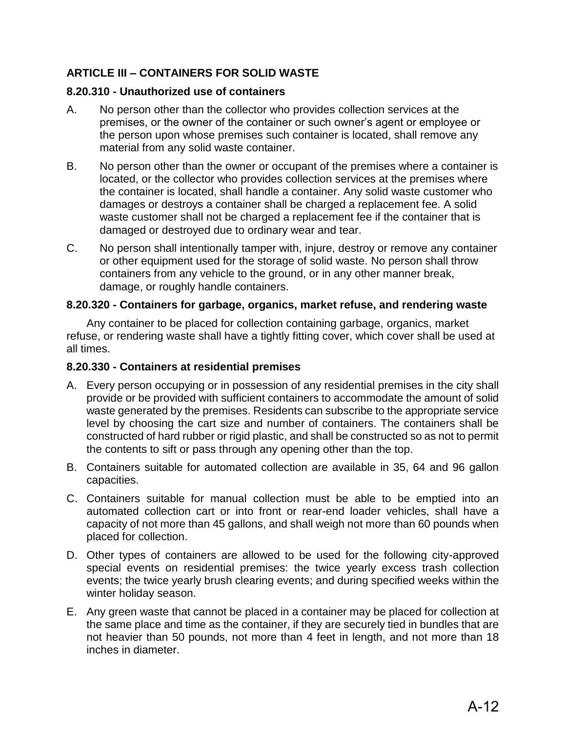# **ARTICLE III – CONTAINERS FOR SOLID WASTE**

### **8.20.310 - Unauthorized use of containers**

- A. No person other than the collector who provides collection services at the premises, or the owner of the container or such owner's agent or employee or the person upon whose premises such container is located, shall remove any material from any solid waste container.
- B. No person other than the owner or occupant of the premises where a container is located, or the collector who provides collection services at the premises where the container is located, shall handle a container. Any solid waste customer who damages or destroys a container shall be charged a replacement fee. A solid waste customer shall not be charged a replacement fee if the container that is damaged or destroyed due to ordinary wear and tear.
- C. No person shall intentionally tamper with, injure, destroy or remove any container or other equipment used for the storage of solid waste. No person shall throw containers from any vehicle to the ground, or in any other manner break, damage, or roughly handle containers.

### **8.20.320 - Containers for garbage, organics, market refuse, and rendering waste**

Any container to be placed for collection containing garbage, organics, market refuse, or rendering waste shall have a tightly fitting cover, which cover shall be used at all times.

### **8.20.330 - Containers at residential premises**

- A. Every person occupying or in possession of any residential premises in the city shall provide or be provided with sufficient containers to accommodate the amount of solid waste generated by the premises. Residents can subscribe to the appropriate service level by choosing the cart size and number of containers. The containers shall be constructed of hard rubber or rigid plastic, and shall be constructed so as not to permit the contents to sift or pass through any opening other than the top.
- B. Containers suitable for automated collection are available in 35, 64 and 96 gallon capacities.
- C. Containers suitable for manual collection must be able to be emptied into an automated collection cart or into front or rear-end loader vehicles, shall have a capacity of not more than 45 gallons, and shall weigh not more than 60 pounds when placed for collection.
- D. Other types of containers are allowed to be used for the following city-approved special events on residential premises: the twice yearly excess trash collection events; the twice yearly brush clearing events; and during specified weeks within the winter holiday season.
- E. Any green waste that cannot be placed in a container may be placed for collection at the same place and time as the container, if they are securely tied in bundles that are not heavier than 50 pounds, not more than 4 feet in length, and not more than 18 inches in diameter.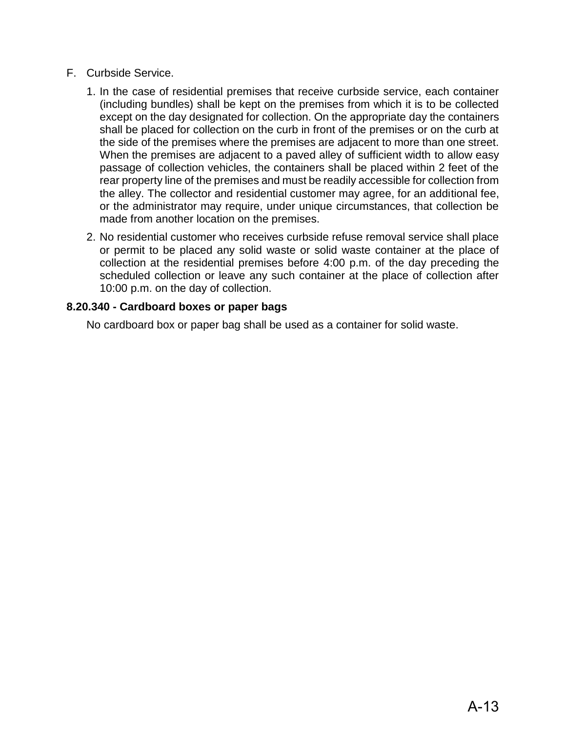- F. Curbside Service.
	- 1. In the case of residential premises that receive curbside service, each container (including bundles) shall be kept on the premises from which it is to be collected except on the day designated for collection. On the appropriate day the containers shall be placed for collection on the curb in front of the premises or on the curb at the side of the premises where the premises are adjacent to more than one street. When the premises are adjacent to a paved alley of sufficient width to allow easy passage of collection vehicles, the containers shall be placed within 2 feet of the rear property line of the premises and must be readily accessible for collection from the alley. The collector and residential customer may agree, for an additional fee, or the administrator may require, under unique circumstances, that collection be made from another location on the premises.
	- 2. No residential customer who receives curbside refuse removal service shall place or permit to be placed any solid waste or solid waste container at the place of collection at the residential premises before 4:00 p.m. of the day preceding the scheduled collection or leave any such container at the place of collection after 10:00 p.m. on the day of collection.

## **8.20.340 - Cardboard boxes or paper bags**

No cardboard box or paper bag shall be used as a container for solid waste.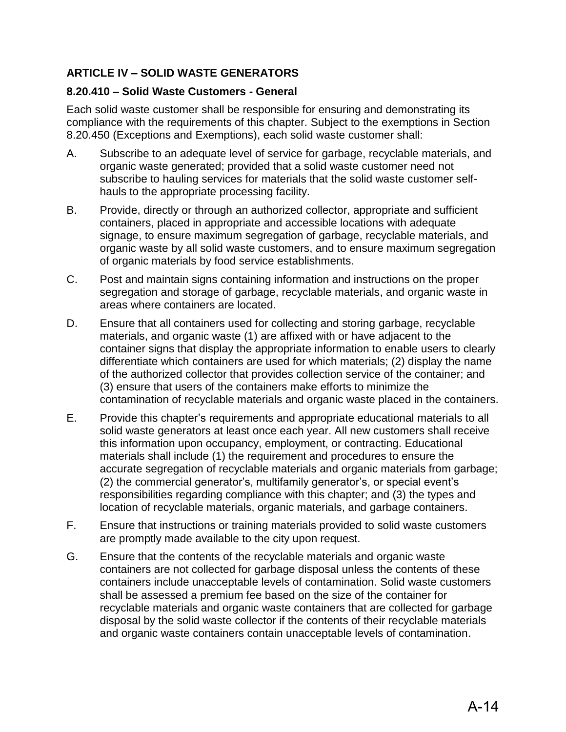# **ARTICLE IV – SOLID WASTE GENERATORS**

## **8.20.410 – Solid Waste Customers - General**

Each solid waste customer shall be responsible for ensuring and demonstrating its compliance with the requirements of this chapter. Subject to the exemptions in Section 8.20.450 (Exceptions and Exemptions), each solid waste customer shall:

- A. Subscribe to an adequate level of service for garbage, recyclable materials, and organic waste generated; provided that a solid waste customer need not subscribe to hauling services for materials that the solid waste customer selfhauls to the appropriate processing facility.
- B. Provide, directly or through an authorized collector, appropriate and sufficient containers, placed in appropriate and accessible locations with adequate signage, to ensure maximum segregation of garbage, recyclable materials, and organic waste by all solid waste customers, and to ensure maximum segregation of organic materials by food service establishments.
- C. Post and maintain signs containing information and instructions on the proper segregation and storage of garbage, recyclable materials, and organic waste in areas where containers are located.
- D. Ensure that all containers used for collecting and storing garbage, recyclable materials, and organic waste (1) are affixed with or have adjacent to the container signs that display the appropriate information to enable users to clearly differentiate which containers are used for which materials; (2) display the name of the authorized collector that provides collection service of the container; and (3) ensure that users of the containers make efforts to minimize the contamination of recyclable materials and organic waste placed in the containers.
- E. Provide this chapter's requirements and appropriate educational materials to all solid waste generators at least once each year. All new customers shall receive this information upon occupancy, employment, or contracting. Educational materials shall include (1) the requirement and procedures to ensure the accurate segregation of recyclable materials and organic materials from garbage; (2) the commercial generator's, multifamily generator's, or special event's responsibilities regarding compliance with this chapter; and (3) the types and location of recyclable materials, organic materials, and garbage containers.
- F. Ensure that instructions or training materials provided to solid waste customers are promptly made available to the city upon request.
- G. Ensure that the contents of the recyclable materials and organic waste containers are not collected for garbage disposal unless the contents of these containers include unacceptable levels of contamination. Solid waste customers shall be assessed a premium fee based on the size of the container for recyclable materials and organic waste containers that are collected for garbage disposal by the solid waste collector if the contents of their recyclable materials and organic waste containers contain unacceptable levels of contamination.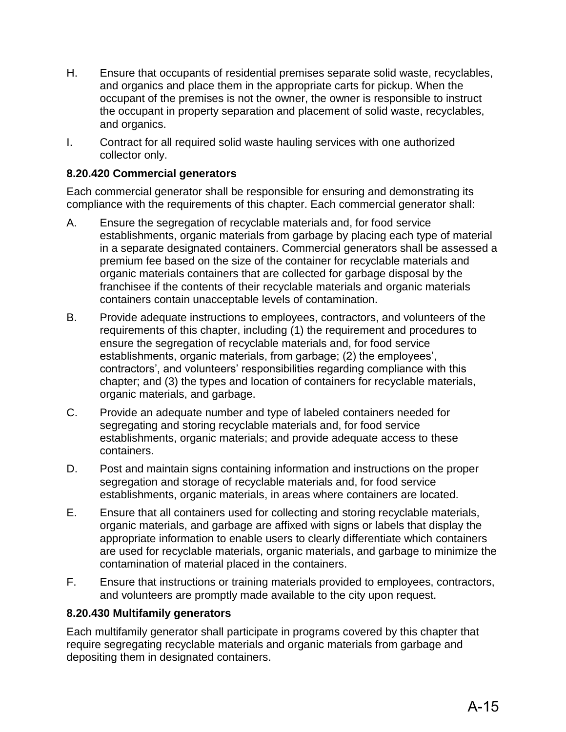- H. Ensure that occupants of residential premises separate solid waste, recyclables, and organics and place them in the appropriate carts for pickup. When the occupant of the premises is not the owner, the owner is responsible to instruct the occupant in property separation and placement of solid waste, recyclables, and organics.
- I. Contract for all required solid waste hauling services with one authorized collector only.

## **8.20.420 Commercial generators**

Each commercial generator shall be responsible for ensuring and demonstrating its compliance with the requirements of this chapter. Each commercial generator shall:

- A. Ensure the segregation of recyclable materials and, for food service establishments, organic materials from garbage by placing each type of material in a separate designated containers. Commercial generators shall be assessed a premium fee based on the size of the container for recyclable materials and organic materials containers that are collected for garbage disposal by the franchisee if the contents of their recyclable materials and organic materials containers contain unacceptable levels of contamination.
- B. Provide adequate instructions to employees, contractors, and volunteers of the requirements of this chapter, including (1) the requirement and procedures to ensure the segregation of recyclable materials and, for food service establishments, organic materials, from garbage; (2) the employees', contractors', and volunteers' responsibilities regarding compliance with this chapter; and (3) the types and location of containers for recyclable materials, organic materials, and garbage.
- C. Provide an adequate number and type of labeled containers needed for segregating and storing recyclable materials and, for food service establishments, organic materials; and provide adequate access to these containers.
- D. Post and maintain signs containing information and instructions on the proper segregation and storage of recyclable materials and, for food service establishments, organic materials, in areas where containers are located.
- E. Ensure that all containers used for collecting and storing recyclable materials, organic materials, and garbage are affixed with signs or labels that display the appropriate information to enable users to clearly differentiate which containers are used for recyclable materials, organic materials, and garbage to minimize the contamination of material placed in the containers.
- F. Ensure that instructions or training materials provided to employees, contractors, and volunteers are promptly made available to the city upon request.

### **8.20.430 Multifamily generators**

Each multifamily generator shall participate in programs covered by this chapter that require segregating recyclable materials and organic materials from garbage and depositing them in designated containers.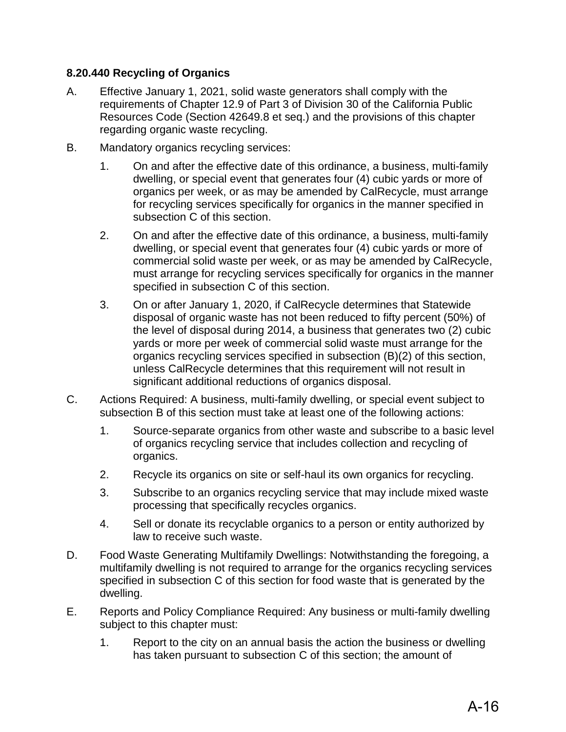# **8.20.440 Recycling of Organics**

- A. Effective January 1, 2021, solid waste generators shall comply with the requirements of Chapter 12.9 of Part 3 of Division 30 of the California Public Resources Code (Section 42649.8 et seq.) and the provisions of this chapter regarding organic waste recycling.
- B. Mandatory organics recycling services:
	- 1. On and after the effective date of this ordinance, a business, multi-family dwelling, or special event that generates four (4) cubic yards or more of organics per week, or as may be amended by CalRecycle, must arrange for recycling services specifically for organics in the manner specified in subsection C of this section.
	- 2. On and after the effective date of this ordinance, a business, multi-family dwelling, or special event that generates four (4) cubic yards or more of commercial solid waste per week, or as may be amended by CalRecycle, must arrange for recycling services specifically for organics in the manner specified in subsection C of this section.
	- 3. On or after January 1, 2020, if CalRecycle determines that Statewide disposal of organic waste has not been reduced to fifty percent (50%) of the level of disposal during 2014, a business that generates two (2) cubic yards or more per week of commercial solid waste must arrange for the organics recycling services specified in subsection (B)(2) of this section, unless CalRecycle determines that this requirement will not result in significant additional reductions of organics disposal.
- C. Actions Required: A business, multi-family dwelling, or special event subject to subsection B of this section must take at least one of the following actions:
	- 1. Source-separate organics from other waste and subscribe to a basic level of organics recycling service that includes collection and recycling of organics.
	- 2. Recycle its organics on site or self-haul its own organics for recycling.
	- 3. Subscribe to an organics recycling service that may include mixed waste processing that specifically recycles organics.
	- 4. Sell or donate its recyclable organics to a person or entity authorized by law to receive such waste.
- D. Food Waste Generating Multifamily Dwellings: Notwithstanding the foregoing, a multifamily dwelling is not required to arrange for the organics recycling services specified in subsection C of this section for food waste that is generated by the dwelling.
- E. Reports and Policy Compliance Required: Any business or multi-family dwelling subject to this chapter must:
	- 1. Report to the city on an annual basis the action the business or dwelling has taken pursuant to subsection C of this section; the amount of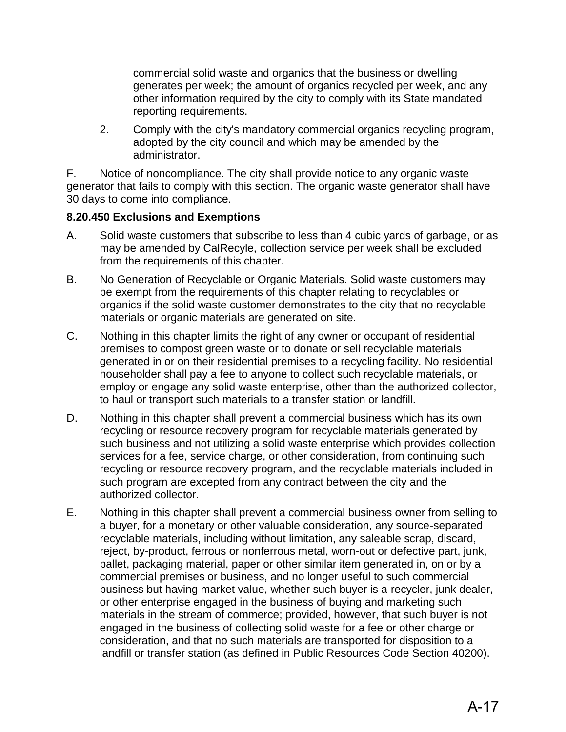commercial solid waste and organics that the business or dwelling generates per week; the amount of organics recycled per week, and any other information required by the city to comply with its State mandated reporting requirements.

2. Comply with the city's mandatory commercial organics recycling program, adopted by the city council and which may be amended by the administrator.

F. Notice of noncompliance. The city shall provide notice to any organic waste generator that fails to comply with this section. The organic waste generator shall have 30 days to come into compliance.

## **8.20.450 Exclusions and Exemptions**

- A. Solid waste customers that subscribe to less than 4 cubic yards of garbage, or as may be amended by CalRecyle, collection service per week shall be excluded from the requirements of this chapter.
- B. No Generation of Recyclable or Organic Materials. Solid waste customers may be exempt from the requirements of this chapter relating to recyclables or organics if the solid waste customer demonstrates to the city that no recyclable materials or organic materials are generated on site.
- C. Nothing in this chapter limits the right of any owner or occupant of residential premises to compost green waste or to donate or sell recyclable materials generated in or on their residential premises to a recycling facility. No residential householder shall pay a fee to anyone to collect such recyclable materials, or employ or engage any solid waste enterprise, other than the authorized collector, to haul or transport such materials to a transfer station or landfill.
- D. Nothing in this chapter shall prevent a commercial business which has its own recycling or resource recovery program for recyclable materials generated by such business and not utilizing a solid waste enterprise which provides collection services for a fee, service charge, or other consideration, from continuing such recycling or resource recovery program, and the recyclable materials included in such program are excepted from any contract between the city and the authorized collector.
- E. Nothing in this chapter shall prevent a commercial business owner from selling to a buyer, for a monetary or other valuable consideration, any source-separated recyclable materials, including without limitation, any saleable scrap, discard, reject, by-product, ferrous or nonferrous metal, worn-out or defective part, junk, pallet, packaging material, paper or other similar item generated in, on or by a commercial premises or business, and no longer useful to such commercial business but having market value, whether such buyer is a recycler, junk dealer, or other enterprise engaged in the business of buying and marketing such materials in the stream of commerce; provided, however, that such buyer is not engaged in the business of collecting solid waste for a fee or other charge or consideration, and that no such materials are transported for disposition to a landfill or transfer station (as defined in Public Resources Code Section 40200).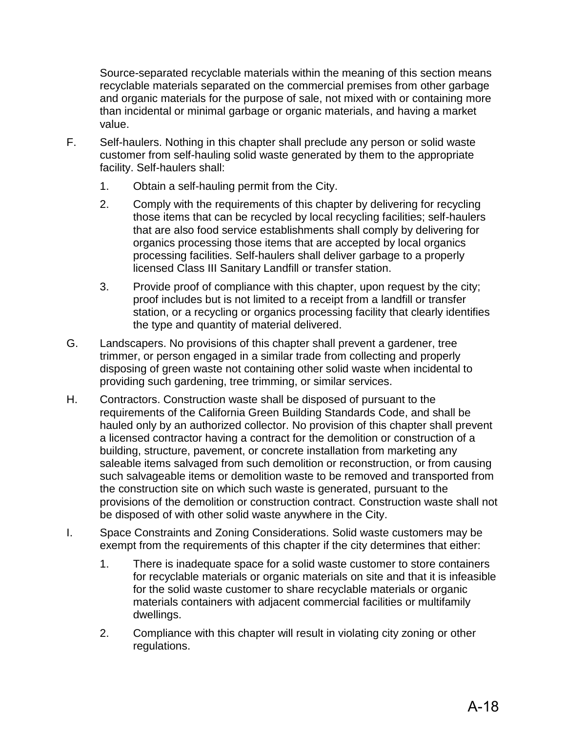Source-separated recyclable materials within the meaning of this section means recyclable materials separated on the commercial premises from other garbage and organic materials for the purpose of sale, not mixed with or containing more than incidental or minimal garbage or organic materials, and having a market value.

- F. Self-haulers. Nothing in this chapter shall preclude any person or solid waste customer from self-hauling solid waste generated by them to the appropriate facility. Self-haulers shall:
	- 1. Obtain a self-hauling permit from the City.
	- 2. Comply with the requirements of this chapter by delivering for recycling those items that can be recycled by local recycling facilities; self-haulers that are also food service establishments shall comply by delivering for organics processing those items that are accepted by local organics processing facilities. Self-haulers shall deliver garbage to a properly licensed Class III Sanitary Landfill or transfer station.
	- 3. Provide proof of compliance with this chapter, upon request by the city; proof includes but is not limited to a receipt from a landfill or transfer station, or a recycling or organics processing facility that clearly identifies the type and quantity of material delivered.
- G. Landscapers. No provisions of this chapter shall prevent a gardener, tree trimmer, or person engaged in a similar trade from collecting and properly disposing of green waste not containing other solid waste when incidental to providing such gardening, tree trimming, or similar services.
- H. Contractors. Construction waste shall be disposed of pursuant to the requirements of the California Green Building Standards Code, and shall be hauled only by an authorized collector. No provision of this chapter shall prevent a licensed contractor having a contract for the demolition or construction of a building, structure, pavement, or concrete installation from marketing any saleable items salvaged from such demolition or reconstruction, or from causing such salvageable items or demolition waste to be removed and transported from the construction site on which such waste is generated, pursuant to the provisions of the demolition or construction contract. Construction waste shall not be disposed of with other solid waste anywhere in the City.
- I. Space Constraints and Zoning Considerations. Solid waste customers may be exempt from the requirements of this chapter if the city determines that either:
	- 1. There is inadequate space for a solid waste customer to store containers for recyclable materials or organic materials on site and that it is infeasible for the solid waste customer to share recyclable materials or organic materials containers with adjacent commercial facilities or multifamily dwellings.
	- 2. Compliance with this chapter will result in violating city zoning or other regulations.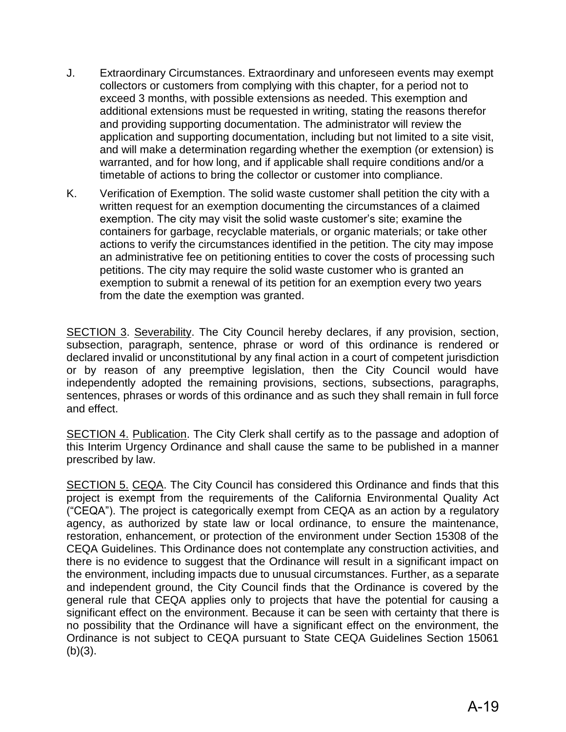- J. Extraordinary Circumstances. Extraordinary and unforeseen events may exempt collectors or customers from complying with this chapter, for a period not to exceed 3 months, with possible extensions as needed. This exemption and additional extensions must be requested in writing, stating the reasons therefor and providing supporting documentation. The administrator will review the application and supporting documentation, including but not limited to a site visit, and will make a determination regarding whether the exemption (or extension) is warranted, and for how long, and if applicable shall require conditions and/or a timetable of actions to bring the collector or customer into compliance.
- K. Verification of Exemption. The solid waste customer shall petition the city with a written request for an exemption documenting the circumstances of a claimed exemption. The city may visit the solid waste customer's site; examine the containers for garbage, recyclable materials, or organic materials; or take other actions to verify the circumstances identified in the petition. The city may impose an administrative fee on petitioning entities to cover the costs of processing such petitions. The city may require the solid waste customer who is granted an exemption to submit a renewal of its petition for an exemption every two years from the date the exemption was granted.

SECTION 3. Severability. The City Council hereby declares, if any provision, section, subsection, paragraph, sentence, phrase or word of this ordinance is rendered or declared invalid or unconstitutional by any final action in a court of competent jurisdiction or by reason of any preemptive legislation, then the City Council would have independently adopted the remaining provisions, sections, subsections, paragraphs, sentences, phrases or words of this ordinance and as such they shall remain in full force and effect.

SECTION 4. Publication. The City Clerk shall certify as to the passage and adoption of this Interim Urgency Ordinance and shall cause the same to be published in a manner prescribed by law.

SECTION 5. CEQA. The City Council has considered this Ordinance and finds that this project is exempt from the requirements of the California Environmental Quality Act ("CEQA"). The project is categorically exempt from CEQA as an action by a regulatory agency, as authorized by state law or local ordinance, to ensure the maintenance, restoration, enhancement, or protection of the environment under Section 15308 of the CEQA Guidelines. This Ordinance does not contemplate any construction activities, and there is no evidence to suggest that the Ordinance will result in a significant impact on the environment, including impacts due to unusual circumstances. Further, as a separate and independent ground, the City Council finds that the Ordinance is covered by the general rule that CEQA applies only to projects that have the potential for causing a significant effect on the environment. Because it can be seen with certainty that there is no possibility that the Ordinance will have a significant effect on the environment, the Ordinance is not subject to CEQA pursuant to State CEQA Guidelines Section 15061  $(b)(3)$ .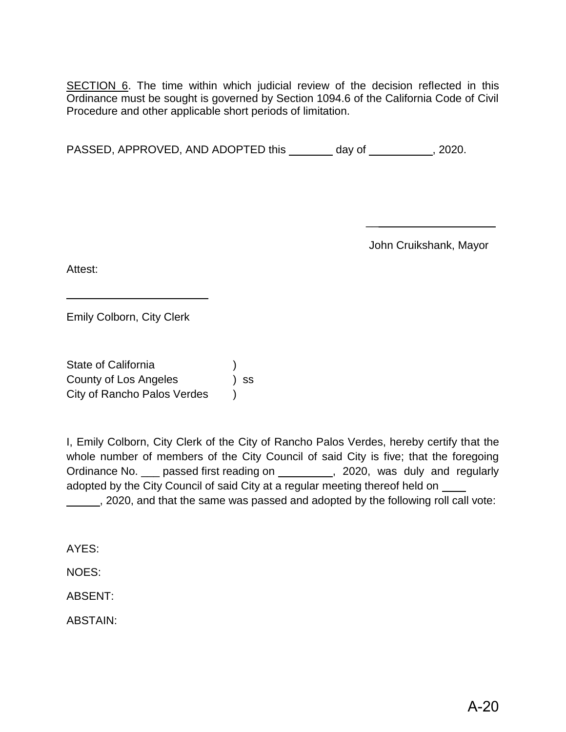SECTION 6. The time within which judicial review of the decision reflected in this Ordinance must be sought is governed by Section 1094.6 of the California Code of Civil Procedure and other applicable short periods of limitation.

PASSED, APPROVED, AND ADOPTED this day of , 2020.

John Cruikshank, Mayor

 $\overline{\phantom{a}}$  , which is a substitution of the set of the set of the set of the set of the set of the set of the set of the set of the set of the set of the set of the set of the set of the set of the set of the set of the

Attest:

Emily Colborn, City Clerk

\_\_\_\_\_\_\_\_\_\_\_\_\_\_\_\_\_\_\_\_\_\_\_

State of California ) County of Los Angeles ) ss City of Rancho Palos Verdes )

I, Emily Colborn, City Clerk of the City of Rancho Palos Verdes, hereby certify that the whole number of members of the City Council of said City is five; that the foregoing Ordinance No. in passed first reading on 100 mag. 2020, was duly and regularly adopted by the City Council of said City at a regular meeting thereof held on \_\_\_\_

, 2020, and that the same was passed and adopted by the following roll call vote:

AYES:

NOES:

ABSENT:

ABSTAIN: